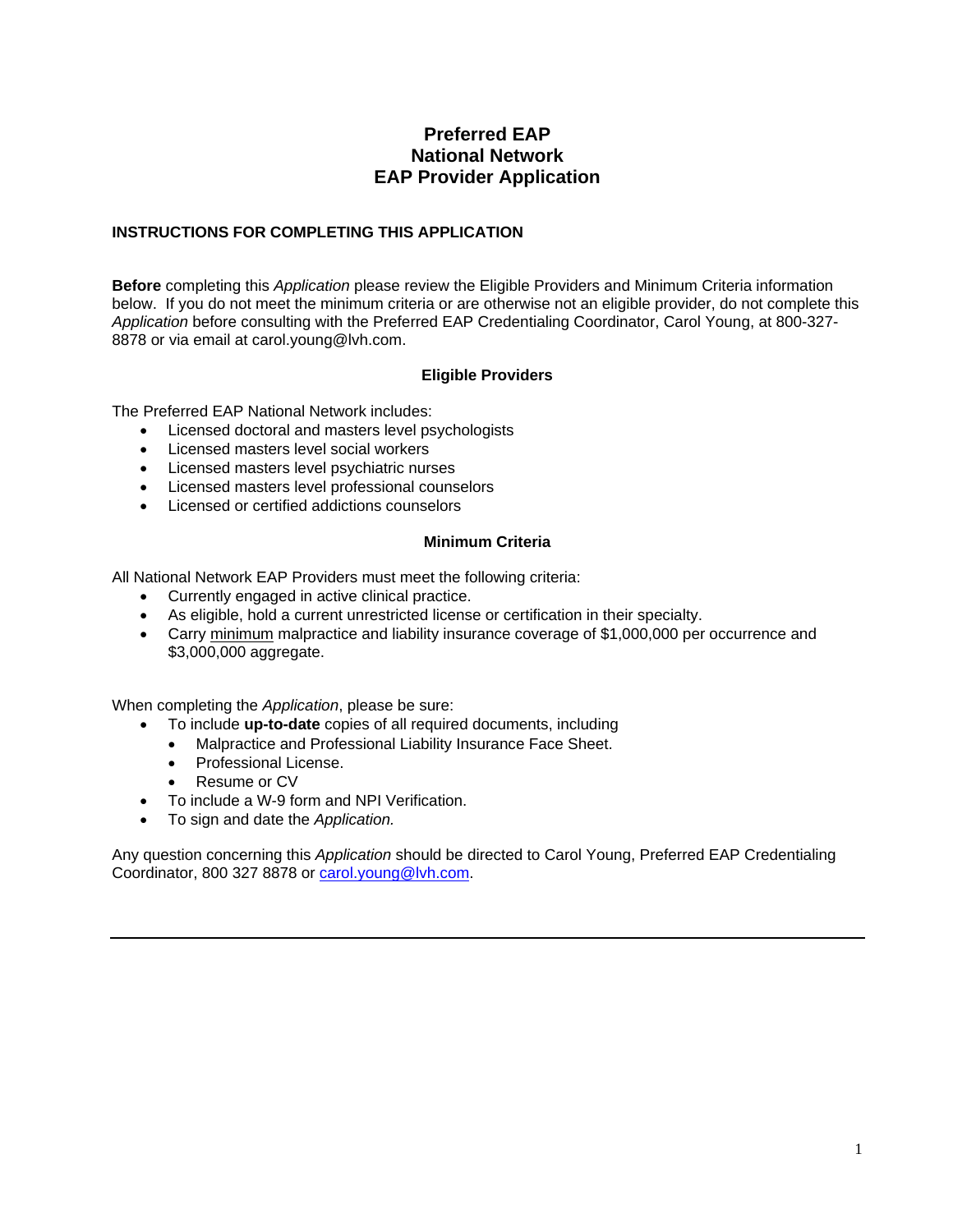## **Preferred EAP National Network EAP Provider Application**

### **INSTRUCTIONS FOR COMPLETING THIS APPLICATION**

**Before** completing this *Application* please review the Eligible Providers and Minimum Criteria information below. If you do not meet the minimum criteria or are otherwise not an eligible provider, do not complete this *Application* before consulting with the Preferred EAP Credentialing Coordinator, Carol Young, at 800-327- 8878 or via email at carol.young@lvh.com.

#### **Eligible Providers**

The Preferred EAP National Network includes:

- Licensed doctoral and masters level psychologists
- Licensed masters level social workers
- Licensed masters level psychiatric nurses
- Licensed masters level professional counselors
- Licensed or certified addictions counselors

#### **Minimum Criteria**

All National Network EAP Providers must meet the following criteria:

- Currently engaged in active clinical practice.
- As eligible, hold a current unrestricted license or certification in their specialty.
- Carry minimum malpractice and liability insurance coverage of \$1,000,000 per occurrence and \$3,000,000 aggregate.

When completing the *Application*, please be sure:

- To include **up-to-date** copies of all required documents, including
	- Malpractice and Professional Liability Insurance Face Sheet.
	- Professional License.
	- Resume or CV
- To include a W-9 form and NPI Verification.
- To sign and date the *Application.*

Any question concerning this *Application* should be directed to Carol Young, Preferred EAP Credentialing Coordinator, 800 327 8878 or carol.young@lvh.com.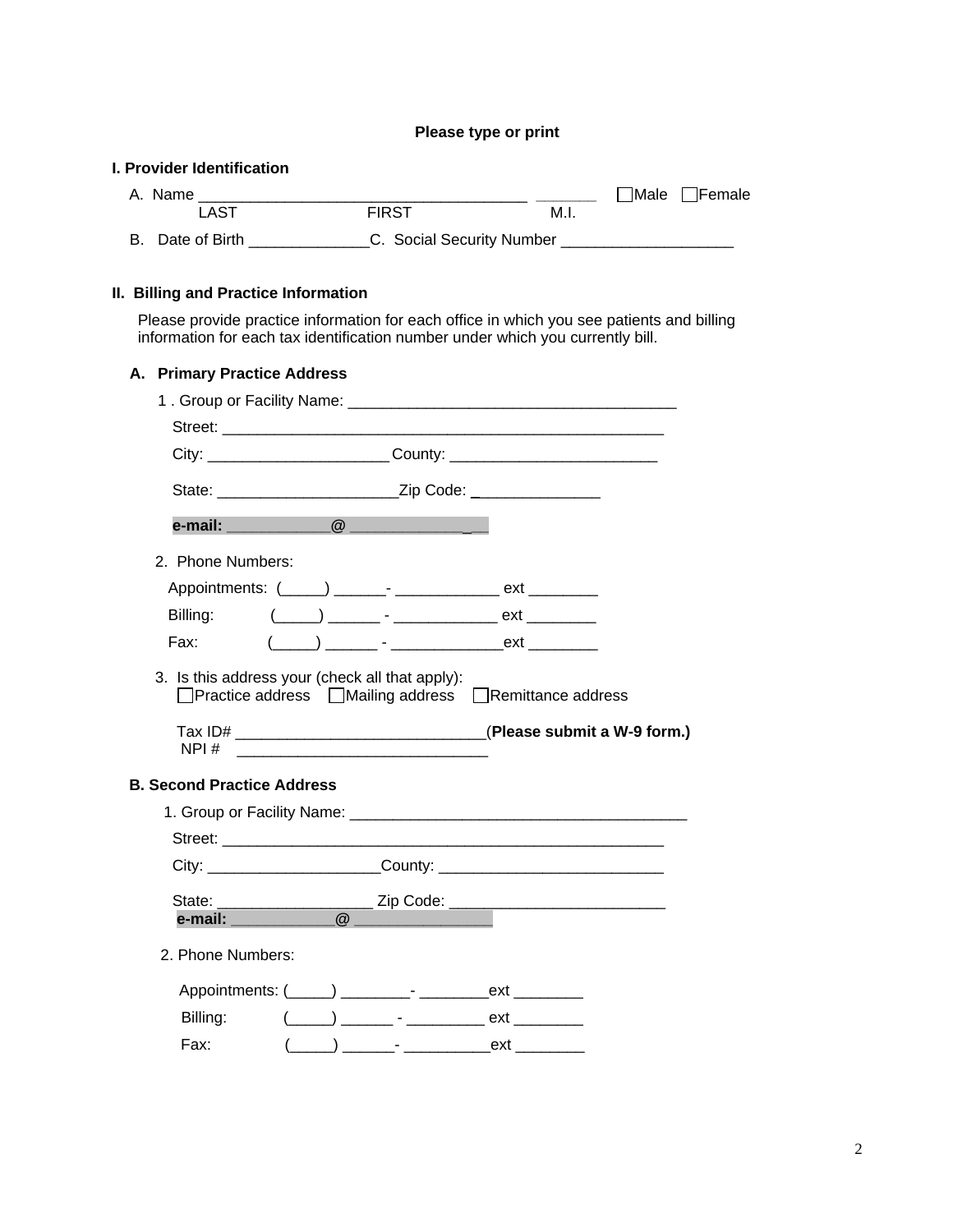#### **Please type or print**

#### **I. Provider Identification**

| A. Name             |              |                           |  | $\exists$ Male $\Box$ Female |
|---------------------|--------------|---------------------------|--|------------------------------|
| LAST                | <b>FIRST</b> | M.I.                      |  |                              |
| Date of Birth<br>В. |              | C. Social Security Number |  |                              |

#### **II. Billing and Practice Information**

Please provide practice information for each office in which you see patients and billing information for each tax identification number under which you currently bill.

| A. Primary Practice Address       |                                                                                                                                                                                                                                                                                          |                                                     |                                                                                                                                                                                                                                                                                                                     |
|-----------------------------------|------------------------------------------------------------------------------------------------------------------------------------------------------------------------------------------------------------------------------------------------------------------------------------------|-----------------------------------------------------|---------------------------------------------------------------------------------------------------------------------------------------------------------------------------------------------------------------------------------------------------------------------------------------------------------------------|
|                                   |                                                                                                                                                                                                                                                                                          |                                                     |                                                                                                                                                                                                                                                                                                                     |
|                                   |                                                                                                                                                                                                                                                                                          |                                                     |                                                                                                                                                                                                                                                                                                                     |
|                                   |                                                                                                                                                                                                                                                                                          |                                                     | City: _______________________________County: ___________________________________                                                                                                                                                                                                                                    |
|                                   |                                                                                                                                                                                                                                                                                          |                                                     |                                                                                                                                                                                                                                                                                                                     |
|                                   |                                                                                                                                                                                                                                                                                          |                                                     |                                                                                                                                                                                                                                                                                                                     |
| 2. Phone Numbers:                 |                                                                                                                                                                                                                                                                                          |                                                     |                                                                                                                                                                                                                                                                                                                     |
|                                   |                                                                                                                                                                                                                                                                                          |                                                     |                                                                                                                                                                                                                                                                                                                     |
| Billing:                          |                                                                                                                                                                                                                                                                                          |                                                     |                                                                                                                                                                                                                                                                                                                     |
| Fax: F                            |                                                                                                                                                                                                                                                                                          |                                                     | $\frac{1}{2}$ $\frac{1}{2}$ $\frac{1}{2}$ $\frac{1}{2}$ $\frac{1}{2}$ $\frac{1}{2}$ $\frac{1}{2}$ $\frac{1}{2}$ $\frac{1}{2}$ $\frac{1}{2}$ $\frac{1}{2}$ $\frac{1}{2}$ $\frac{1}{2}$ $\frac{1}{2}$ $\frac{1}{2}$ $\frac{1}{2}$ $\frac{1}{2}$ $\frac{1}{2}$ $\frac{1}{2}$ $\frac{1}{2}$ $\frac{1}{2}$ $\frac{1}{2}$ |
|                                   |                                                                                                                                                                                                                                                                                          |                                                     | □Practice address □Mailing address □Remittance address                                                                                                                                                                                                                                                              |
|                                   | $NPI#$ and $\frac{1}{2}$ and $\frac{1}{2}$ and $\frac{1}{2}$ and $\frac{1}{2}$ and $\frac{1}{2}$ and $\frac{1}{2}$ and $\frac{1}{2}$ and $\frac{1}{2}$ and $\frac{1}{2}$ and $\frac{1}{2}$ and $\frac{1}{2}$ and $\frac{1}{2}$ and $\frac{1}{2}$ and $\frac{1}{2}$ and $\frac{1}{2}$ and |                                                     |                                                                                                                                                                                                                                                                                                                     |
| <b>B. Second Practice Address</b> |                                                                                                                                                                                                                                                                                          |                                                     |                                                                                                                                                                                                                                                                                                                     |
|                                   |                                                                                                                                                                                                                                                                                          |                                                     |                                                                                                                                                                                                                                                                                                                     |
|                                   |                                                                                                                                                                                                                                                                                          |                                                     |                                                                                                                                                                                                                                                                                                                     |
|                                   |                                                                                                                                                                                                                                                                                          |                                                     | City: City: County: County:                                                                                                                                                                                                                                                                                         |
| e-mail:                           |                                                                                                                                                                                                                                                                                          |                                                     |                                                                                                                                                                                                                                                                                                                     |
| 2. Phone Numbers:                 |                                                                                                                                                                                                                                                                                          |                                                     |                                                                                                                                                                                                                                                                                                                     |
|                                   |                                                                                                                                                                                                                                                                                          |                                                     |                                                                                                                                                                                                                                                                                                                     |
| Billing:                          |                                                                                                                                                                                                                                                                                          | $(\_\_)$ _______ - ________________ ext ___________ | Tax ID# __________________________________(Please submit a W-9 form.)                                                                                                                                                                                                                                               |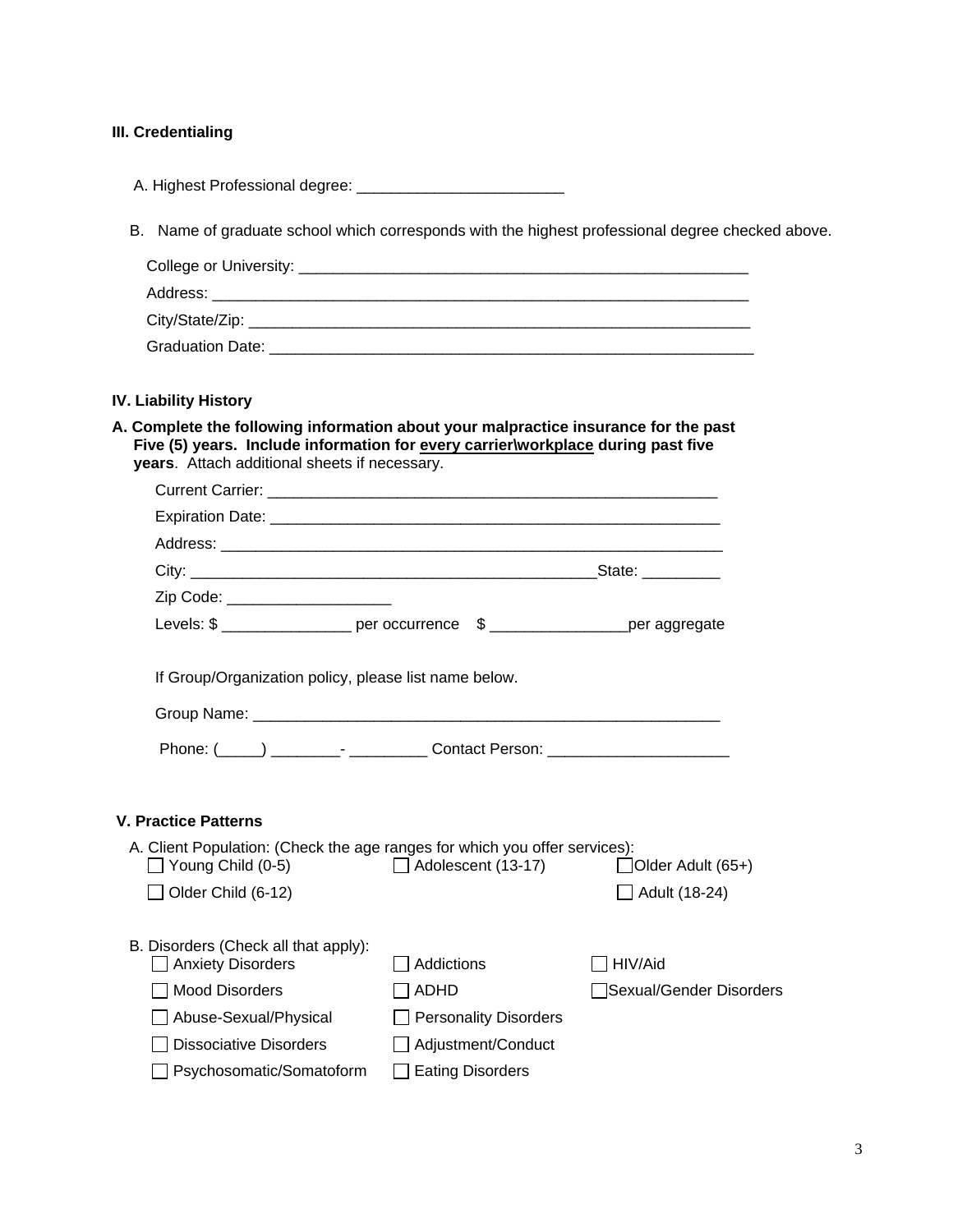## **III. Credentialing**

| B. Name of graduate school which corresponds with the highest professional degree checked above.                                                                                                                         |                              |                         |
|--------------------------------------------------------------------------------------------------------------------------------------------------------------------------------------------------------------------------|------------------------------|-------------------------|
|                                                                                                                                                                                                                          |                              |                         |
|                                                                                                                                                                                                                          |                              |                         |
|                                                                                                                                                                                                                          |                              |                         |
|                                                                                                                                                                                                                          |                              |                         |
| <b>IV. Liability History</b>                                                                                                                                                                                             |                              |                         |
| A. Complete the following information about your malpractice insurance for the past<br>Five (5) years. Include information for every carrier\workplace during past five<br>years. Attach additional sheets if necessary. |                              |                         |
|                                                                                                                                                                                                                          |                              |                         |
|                                                                                                                                                                                                                          |                              |                         |
|                                                                                                                                                                                                                          |                              |                         |
|                                                                                                                                                                                                                          |                              |                         |
| Zip Code: ______________________                                                                                                                                                                                         |                              |                         |
| Levels: \$ ___________________ per occurrence \$ _____________________per aggregate                                                                                                                                      |                              |                         |
| If Group/Organization policy, please list name below.                                                                                                                                                                    |                              |                         |
|                                                                                                                                                                                                                          |                              |                         |
|                                                                                                                                                                                                                          |                              |                         |
| <b>V. Practice Patterns</b>                                                                                                                                                                                              |                              |                         |
| A. Client Population: (Check the age ranges for which you offer services):<br>□ Young Child (0-5)<br>□ Adolescent (13-17) □ ○ Older Adult (65+)                                                                          |                              |                         |
| Older Child (6-12)                                                                                                                                                                                                       |                              | □ Adult (18-24)         |
| B. Disorders (Check all that apply):<br><b>Anxiety Disorders</b>                                                                                                                                                         | Addictions                   | HIV/Aid                 |
| <b>Mood Disorders</b>                                                                                                                                                                                                    | <b>ADHD</b>                  | Sexual/Gender Disorders |
| Abuse-Sexual/Physical                                                                                                                                                                                                    | <b>Personality Disorders</b> |                         |
| <b>Dissociative Disorders</b>                                                                                                                                                                                            | Adjustment/Conduct           |                         |
| Psychosomatic/Somatoform                                                                                                                                                                                                 | <b>Eating Disorders</b>      |                         |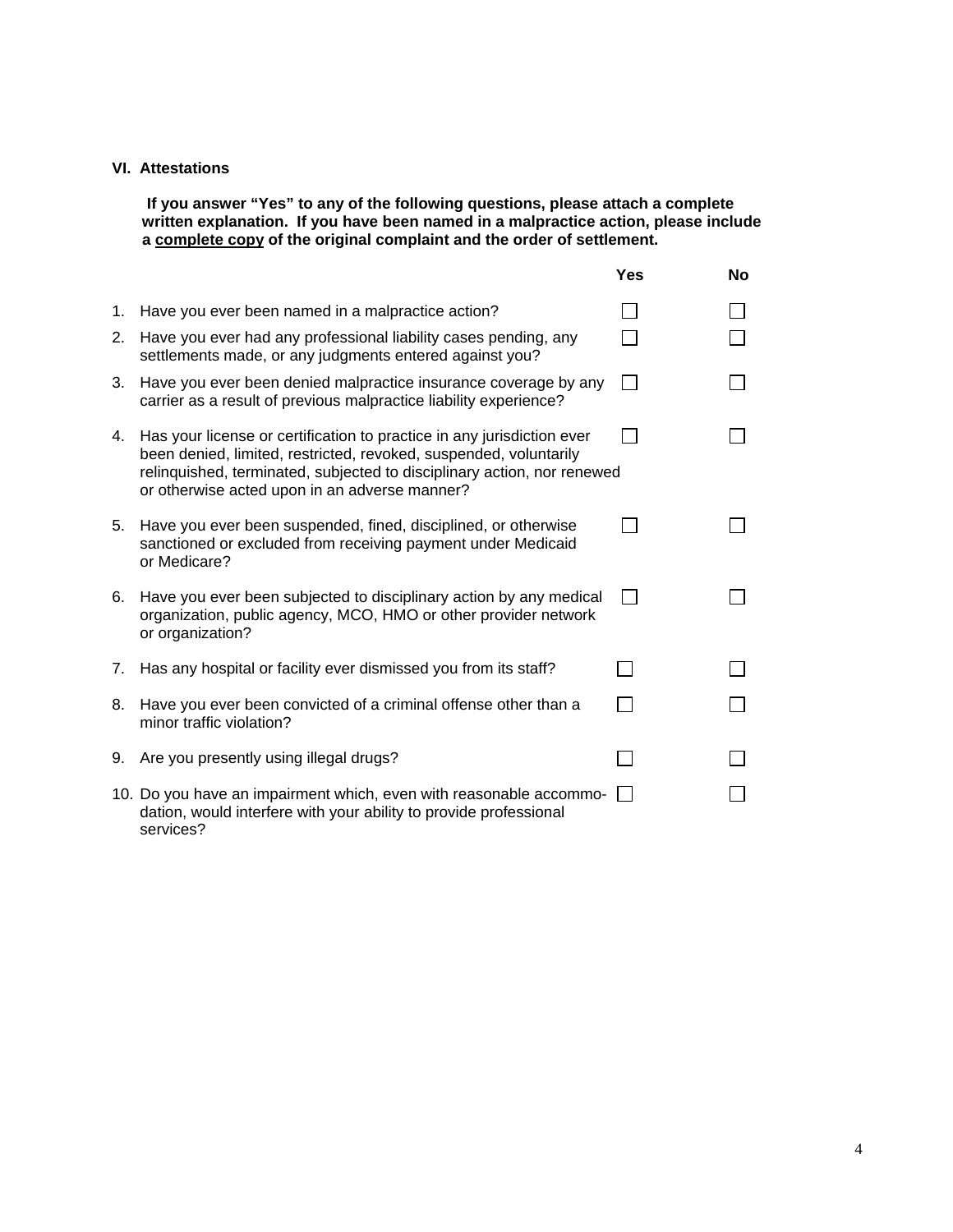#### **VI. Attestations**

**If you answer "Yes" to any of the following questions, please attach a complete written explanation. If you have been named in a malpractice action, please include a complete copy of the original complaint and the order of settlement.** 

|             |                                                                                                                                                                                                                                                                         | <b>Yes</b> | <b>No</b> |
|-------------|-------------------------------------------------------------------------------------------------------------------------------------------------------------------------------------------------------------------------------------------------------------------------|------------|-----------|
| 1.          | Have you ever been named in a malpractice action?                                                                                                                                                                                                                       |            |           |
| 2.          | Have you ever had any professional liability cases pending, any<br>settlements made, or any judgments entered against you?                                                                                                                                              |            |           |
| 3.          | Have you ever been denied malpractice insurance coverage by any<br>carrier as a result of previous malpractice liability experience?                                                                                                                                    |            |           |
| 4.          | Has your license or certification to practice in any jurisdiction ever<br>been denied, limited, restricted, revoked, suspended, voluntarily<br>relinquished, terminated, subjected to disciplinary action, nor renewed<br>or otherwise acted upon in an adverse manner? |            |           |
| 5.          | Have you ever been suspended, fined, disciplined, or otherwise<br>sanctioned or excluded from receiving payment under Medicaid<br>or Medicare?                                                                                                                          |            |           |
| 6.          | Have you ever been subjected to disciplinary action by any medical<br>organization, public agency, MCO, HMO or other provider network<br>or organization?                                                                                                               |            |           |
| $7_{\cdot}$ | Has any hospital or facility ever dismissed you from its staff?                                                                                                                                                                                                         |            |           |
| 8.          | Have you ever been convicted of a criminal offense other than a<br>minor traffic violation?                                                                                                                                                                             |            |           |
| 9.          | Are you presently using illegal drugs?                                                                                                                                                                                                                                  |            |           |
|             | 10. Do you have an impairment which, even with reasonable accommo-<br>dation, would interfere with your ability to provide professional<br>services?                                                                                                                    |            |           |